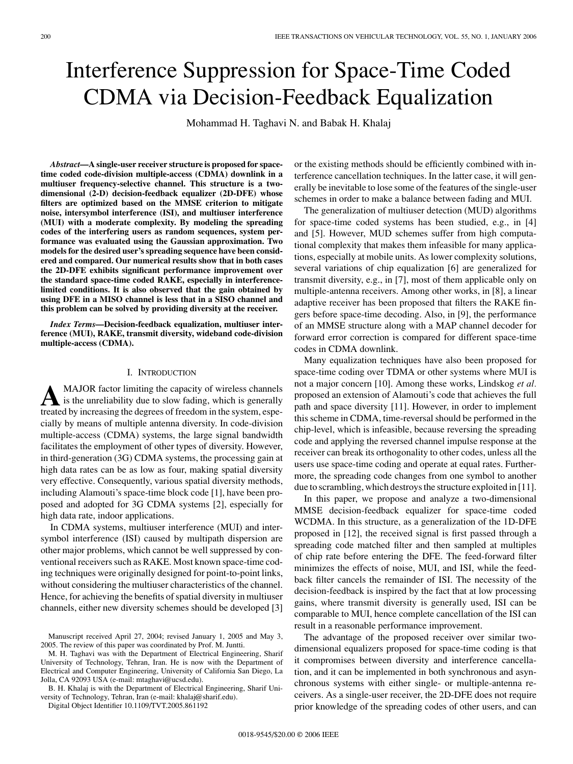# Interference Suppression for Space-Time Coded CDMA via Decision-Feedback Equalization

Mohammad H. Taghavi N. and Babak H. Khalaj

*Abstract***—A single-user receiver structure is proposed for spacetime coded code-division multiple-access (CDMA) downlink in a multiuser frequency-selective channel. This structure is a twodimensional (2-D) decision-feedback equalizer (2D-DFE) whose filters are optimized based on the MMSE criterion to mitigate noise, intersymbol interference (ISI), and multiuser interference (MUI) with a moderate complexity. By modeling the spreading codes of the interfering users as random sequences, system performance was evaluated using the Gaussian approximation. Two models for the desired user's spreading sequence have been considered and compared. Our numerical results show that in both cases the 2D-DFE exhibits significant performance improvement over the standard space-time coded RAKE, especially in interferencelimited conditions. It is also observed that the gain obtained by using DFE in a MISO channel is less that in a SISO channel and this problem can be solved by providing diversity at the receiver.**

*Index Terms***—Decision-feedback equalization, multiuser interference (MUI), RAKE, transmit diversity, wideband code-division multiple-access (CDMA).**

## I. INTRODUCTION

A MAJOR factor limiting the capacity of wireless channels<br>is the unreliability due to slow fading, which is generally<br>treated by increasing the degrees of freedom in the system aspector treated by increasing the degrees of freedom in the system, especially by means of multiple antenna diversity. In code-division multiple-access (CDMA) systems, the large signal bandwidth facilitates the employment of other types of diversity. However, in third-generation (3G) CDMA systems, the processing gain at high data rates can be as low as four, making spatial diversity very effective. Consequently, various spatial diversity methods, including Alamouti's space-time block code [1], have been proposed and adopted for 3G CDMA systems [2], especially for high data rate, indoor applications.

In CDMA systems, multiuser interference (MUI) and intersymbol interference (ISI) caused by multipath dispersion are other major problems, which cannot be well suppressed by conventional receivers such as RAKE. Most known space-time coding techniques were originally designed for point-to-point links, without considering the multiuser characteristics of the channel. Hence, for achieving the benefits of spatial diversity in multiuser channels, either new diversity schemes should be developed [3]

B. H. Khalaj is with the Department of Electrical Engineering, Sharif University of Technology, Tehran, Iran (e-mail: khalaj@sharif.edu).

Digital Object Identifier 10.1109/TVT.2005.861192

or the existing methods should be efficiently combined with interference cancellation techniques. In the latter case, it will generally be inevitable to lose some of the features of the single-user schemes in order to make a balance between fading and MUI.

The generalization of multiuser detection (MUD) algorithms for space-time coded systems has been studied, e.g., in [4] and [5]. However, MUD schemes suffer from high computational complexity that makes them infeasible for many applications, especially at mobile units. As lower complexity solutions, several variations of chip equalization [6] are generalized for transmit diversity, e.g., in [7], most of them applicable only on multiple-antenna receivers. Among other works, in [8], a linear adaptive receiver has been proposed that filters the RAKE fingers before space-time decoding. Also, in [9], the performance of an MMSE structure along with a MAP channel decoder for forward error correction is compared for different space-time codes in CDMA downlink.

Many equalization techniques have also been proposed for space-time coding over TDMA or other systems where MUI is not a major concern [10]. Among these works, Lindskog *et al.* proposed an extension of Alamouti's code that achieves the full path and space diversity [11]. However, in order to implement this scheme in CDMA, time-reversal should be performed in the chip-level, which is infeasible, because reversing the spreading code and applying the reversed channel impulse response at the receiver can break its orthogonality to other codes, unless all the users use space-time coding and operate at equal rates. Furthermore, the spreading code changes from one symbol to another due to scrambling, which destroys the structure exploited in [11].

In this paper, we propose and analyze a two-dimensional MMSE decision-feedback equalizer for space-time coded WCDMA. In this structure, as a generalization of the 1D-DFE proposed in [12], the received signal is first passed through a spreading code matched filter and then sampled at multiples of chip rate before entering the DFE. The feed-forward filter minimizes the effects of noise, MUI, and ISI, while the feedback filter cancels the remainder of ISI. The necessity of the decision-feedback is inspired by the fact that at low processing gains, where transmit diversity is generally used, ISI can be comparable to MUI, hence complete cancellation of the ISI can result in a reasonable performance improvement.

The advantage of the proposed receiver over similar twodimensional equalizers proposed for space-time coding is that it compromises between diversity and interference cancellation, and it can be implemented in both synchronous and asynchronous systems with either single- or multiple-antenna receivers. As a single-user receiver, the 2D-DFE does not require prior knowledge of the spreading codes of other users, and can

Manuscript received April 27, 2004; revised January 1, 2005 and May 3, 2005. The review of this paper was coordinated by Prof. M. Juntti.

M. H. Taghavi was with the Department of Electrical Engineering, Sharif University of Technology, Tehran, Iran. He is now with the Department of Electrical and Computer Engineering, University of California San Diego, La Jolla, CA 92093 USA (e-mail: mtaghavi@ucsd.edu).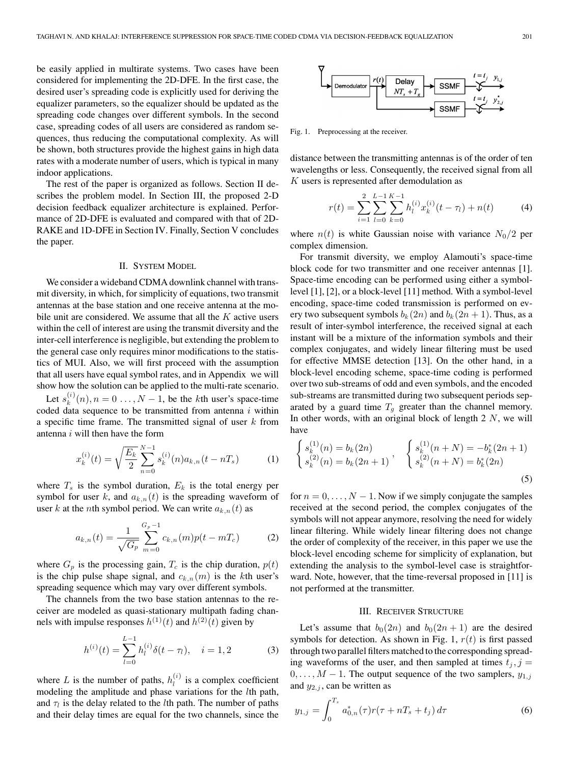be easily applied in multirate systems. Two cases have been considered for implementing the 2D-DFE. In the first case, the desired user's spreading code is explicitly used for deriving the equalizer parameters, so the equalizer should be updated as the spreading code changes over different symbols. In the second case, spreading codes of all users are considered as random sequences, thus reducing the computational complexity. As will be shown, both structures provide the highest gains in high data rates with a moderate number of users, which is typical in many indoor applications.

The rest of the paper is organized as follows. Section II describes the problem model. In Section III, the proposed 2-D decision feedback equalizer architecture is explained. Performance of 2D-DFE is evaluated and compared with that of 2D-RAKE and 1D-DFE in Section IV. Finally, Section V concludes the paper.

# II. SYSTEM MODEL

We consider a wideband CDMA downlink channel with transmit diversity, in which, for simplicity of equations, two transmit antennas at the base station and one receive antenna at the mobile unit are considered. We assume that all the  $K$  active users within the cell of interest are using the transmit diversity and the inter-cell interference is negligible, but extending the problem to the general case only requires minor modifications to the statistics of MUI. Also, we will first proceed with the assumption that all users have equal symbol rates, and in Appendix we will show how the solution can be applied to the multi-rate scenario.

Let  $s_k^{(i)}(n), n = 0, \ldots, N-1$ , be the kth user's space-time coded data sequence to be transmitted from antenna  $i$  within a specific time frame. The transmitted signal of user k from antenna  $i$  will then have the form

$$
x_k^{(i)}(t) = \sqrt{\frac{E_k}{2}} \sum_{n=0}^{N-1} s_k^{(i)}(n) a_{k,n}(t - nT_s)
$$
 (1)

where  $T_s$  is the symbol duration,  $E_k$  is the total energy per symbol for user k, and  $a_{k,n}(t)$  is the spreading waveform of user k at the nth symbol period. We can write  $a_{k,n}(t)$  as

$$
a_{k,n}(t) = \frac{1}{\sqrt{G_p}} \sum_{m=0}^{G_p - 1} c_{k,n}(m) p(t - mT_c)
$$
 (2)

where  $G_p$  is the processing gain,  $T_c$  is the chip duration,  $p(t)$ is the chip pulse shape signal, and  $c_{k,n}(m)$  is the kth user's spreading sequence which may vary over different symbols.

The channels from the two base station antennas to the receiver are modeled as quasi-stationary multipath fading channels with impulse responses  $h^{(1)}(t)$  and  $h^{(2)}(t)$  given by

$$
h^{(i)}(t) = \sum_{l=0}^{L-1} h_l^{(i)} \delta(t - \tau_l), \quad i = 1, 2
$$
 (3)

where L is the number of paths,  $h_l^{(i)}$  is a complex coefficient modeling the amplitude and phase variations for the lth path, and  $\tau_l$  is the delay related to the *l*th path. The number of paths and their delay times are equal for the two channels, since the



Fig. 1. Preprocessing at the receiver.

distance between the transmitting antennas is of the order of ten wavelengths or less. Consequently, the received signal from all  $K$  users is represented after demodulation as

$$
r(t) = \sum_{i=1}^{2} \sum_{l=0}^{L-1} \sum_{k=0}^{K-1} h_l^{(i)} x_k^{(i)}(t - \tau_l) + n(t)
$$
 (4)

where  $n(t)$  is white Gaussian noise with variance  $N_0/2$  per complex dimension.

For transmit diversity, we employ Alamouti's space-time block code for two transmitter and one receiver antennas [1]. Space-time encoding can be performed using either a symbollevel [1], [2], or a block-level [11] method. With a symbol-level encoding, space-time coded transmission is performed on every two subsequent symbols  $b_k(2n)$  and  $b_k(2n + 1)$ . Thus, as a result of inter-symbol interference, the received signal at each instant will be a mixture of the information symbols and their complex conjugates, and widely linear filtering must be used for effective MMSE detection [13]. On the other hand, in a block-level encoding scheme, space-time coding is performed over two sub-streams of odd and even symbols, and the encoded sub-streams are transmitted during two subsequent periods separated by a guard time  $T_g$  greater than the channel memory. In other words, with an original block of length  $2 \, N$ , we will have

$$
\begin{cases}\ns_k^{(1)}(n) = b_k(2n) \\
s_k^{(2)}(n) = b_k(2n+1)\n\end{cases},\n\begin{cases}\ns_k^{(1)}(n+N) = -b_k^*(2n+1) \\
s_k^{(2)}(n+N) = b_k^*(2n)\n\end{cases}
$$
\n(5)

for  $n = 0, \ldots, N - 1$ . Now if we simply conjugate the samples received at the second period, the complex conjugates of the symbols will not appear anymore, resolving the need for widely linear filtering. While widely linear filtering does not change the order of complexity of the receiver, in this paper we use the block-level encoding scheme for simplicity of explanation, but extending the analysis to the symbol-level case is straightforward. Note, however, that the time-reversal proposed in [11] is not performed at the transmitter.

# III. RECEIVER STRUCTURE

Let's assume that  $b_0(2n)$  and  $b_0(2n + 1)$  are the desired symbols for detection. As shown in Fig. 1,  $r(t)$  is first passed through two parallel filters matched to the corresponding spreading waveforms of the user, and then sampled at times  $t_j$ ,  $j =$  $0, \ldots, M-1$ . The output sequence of the two samplers,  $y_{1,j}$ and  $y_{2,j}$ , can be written as

$$
y_{1,j} = \int_0^{T_s} a_{0,n}^*(\tau) r(\tau + nT_s + t_j) d\tau \tag{6}
$$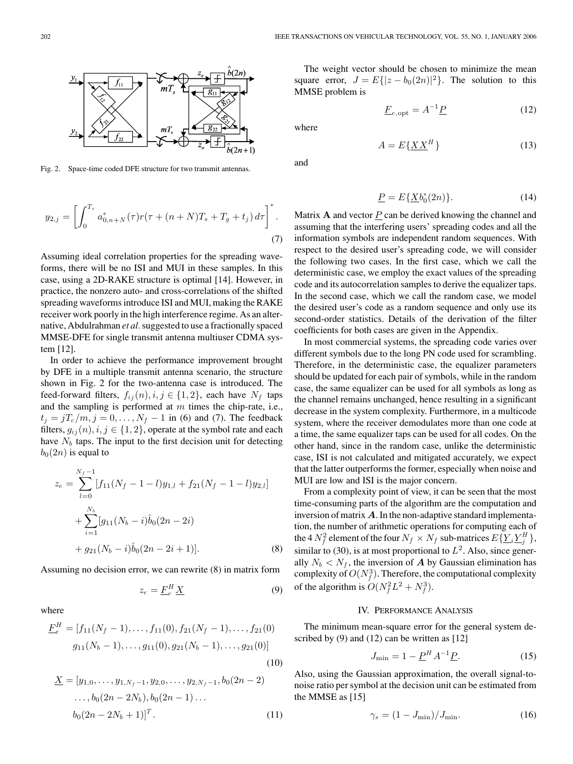

Fig. 2. Space-time coded DFE structure for two transmit antennas.

$$
y_{2,j} = \left[ \int_0^{T_s} a_{0,n+N}^*(\tau) r(\tau + (n+N)T_s + T_g + t_j) d\tau \right]^*.
$$
\n(7)

Assuming ideal correlation properties for the spreading waveforms, there will be no ISI and MUI in these samples. In this case, using a 2D-RAKE structure is optimal [14]. However, in practice, the nonzero auto- and cross-correlations of the shifted spreading waveforms introduce ISI and MUI, making the RAKE receiver work poorly in the high interference regime. As an alternative, Abdulrahman *et al.*suggested to use a fractionally spaced MMSE-DFE for single transmit antenna multiuser CDMA system [12].

In order to achieve the performance improvement brought by DFE in a multiple transmit antenna scenario, the structure shown in Fig. 2 for the two-antenna case is introduced. The feed-forward filters,  $f_{ij}(n), i, j \in \{1, 2\}$ , each have  $N_f$  taps and the sampling is performed at  $m$  times the chip-rate, i.e.,  $t_j = jT_c/m, j = 0, \dots, N_f - 1$  in (6) and (7). The feedback filters,  $g_{ij}(n), i, j \in \{1, 2\}$ , operate at the symbol rate and each have  $N_b$  taps. The input to the first decision unit for detecting  $b_0(2n)$  is equal to

$$
z_e = \sum_{l=0}^{N_f - 1} [f_{11}(N_f - 1 - l)y_{1,l} + f_{21}(N_f - 1 - l)y_{2,l}]
$$
  
+ 
$$
\sum_{i=1}^{N_b} [g_{11}(N_b - i)\hat{b}_0(2n - 2i)
$$
  
+ 
$$
g_{21}(N_b - i)\hat{b}_0(2n - 2i + 1)].
$$
 (8)

Assuming no decision error, we can rewrite (8) in matrix form

$$
z_e = \underline{F}_e^H \underline{X} \tag{9}
$$

where

$$
\underline{F}_e^H = [f_{11}(N_f - 1), \dots, f_{11}(0), f_{21}(N_f - 1), \dots, f_{21}(0)
$$
  

$$
g_{11}(N_b - 1), \dots, g_{11}(0), g_{21}(N_b - 1), \dots, g_{21}(0)]
$$
  
(10)

$$
\underline{X} = [y_{1,0}, \dots, y_{1,N_f-1}, y_{2,0}, \dots, y_{2,N_f-1}, b_0(2n-2) \dots, b_0(2n-2N_b), b_0(2n-1) \dots \dots b_0(2n-2N_b+1)]^T.
$$
\n(11)

The weight vector should be chosen to minimize the mean square error,  $J = E{ |z - b_0(2n)|^2 }$ . The solution to this MMSE problem is

$$
\underline{F}_{e,\text{opt}} = A^{-1}\underline{P} \tag{12}
$$

where

and

$$
f_{\rm{max}}
$$

 $A = E{XX<sup>H</sup>}$  (13)

$$
\underline{P} = E\{\underline{X}b_0^*(2n)\}.
$$
\n(14)

Matrix **A** and vector  $\underline{P}$  can be derived knowing the channel and assuming that the interfering users' spreading codes and all the information symbols are independent random sequences. With respect to the desired user's spreading code, we will consider the following two cases. In the first case, which we call the deterministic case, we employ the exact values of the spreading code and its autocorrelation samples to derive the equalizer taps. In the second case, which we call the random case, we model the desired user's code as a random sequence and only use its second-order statistics. Details of the derivation of the filter coefficients for both cases are given in the Appendix.

In most commercial systems, the spreading code varies over different symbols due to the long PN code used for scrambling. Therefore, in the deterministic case, the equalizer parameters should be updated for each pair of symbols, while in the random case, the same equalizer can be used for all symbols as long as the channel remains unchanged, hence resulting in a significant decrease in the system complexity. Furthermore, in a multicode system, where the receiver demodulates more than one code at a time, the same equalizer taps can be used for all codes. On the other hand, since in the random case, unlike the deterministic case, ISI is not calculated and mitigated accurately, we expect that the latter outperforms the former, especially when noise and MUI are low and ISI is the major concern.

From a complexity point of view, it can be seen that the most time-consuming parts of the algorithm are the computation and inversion of matrix *A*. In the non-adaptive standard implementation, the number of arithmetic operations for computing each of the 4  $N_f^2$  element of the four  $N_f \times N_f$  sub-matrices  $E\{ \underline{Y}_i \underline{Y}_j^H \}$ , similar to (30), is at most proportional to  $L^2$ . Also, since generally  $N_b < N_f$ , the inversion of *A* by Gaussian elimination has complexity of  $O(N_f^3)$ . Therefore, the computational complexity of the algorithm is  $O(N_f^2L^2 + N_f^3)$ .

#### IV. PERFORMANCE ANALYSIS

The minimum mean-square error for the general system described by (9) and (12) can be written as [12]

$$
J_{\min} = 1 - \underline{P}^H A^{-1} \underline{P}.
$$
 (15)

Also, using the Gaussian approximation, the overall signal-tonoise ratio per symbol at the decision unit can be estimated from the MMSE as [15]

$$
\gamma_s = (1 - J_{\text{min}})/J_{\text{min}}.\tag{16}
$$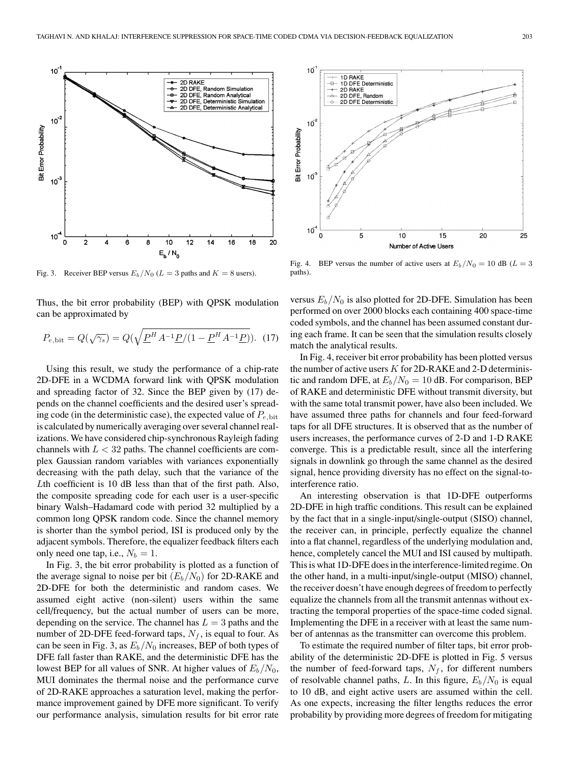

Fig. 3. Receiver BEP versus  $E_b/N_0$  ( $L = 3$  paths and  $K = 8$  users).

Thus, the bit error probability (BEP) with QPSK modulation can be approximated by

$$
P_{e,\text{bit}} = Q(\sqrt{\gamma_s}) = Q(\sqrt{\underline{P}^H A^{-1} \underline{P}/(1 - \underline{P}^H A^{-1} \underline{P})}). \quad (17)
$$

Using this result, we study the performance of a chip-rate 2D-DFE in a WCDMA forward link with QPSK modulation and spreading factor of 32. Since the BEP given by (17) depends on the channel coefficients and the desired user's spreading code (in the deterministic case), the expected value of  $P_{e, \text{bit}}$ is calculated by numerically averaging over several channel realizations. We have considered chip-synchronous Rayleigh fading channels with  $L < 32$  paths. The channel coefficients are complex Gaussian random variables with variances exponentially decreasing with the path delay, such that the variance of the Lth coefficient is 10 dB less than that of the first path. Also, the composite spreading code for each user is a user-specific binary Walsh–Hadamard code with period 32 multiplied by a common long QPSK random code. Since the channel memory is shorter than the symbol period, ISI is produced only by the adjacent symbols. Therefore, the equalizer feedback filters each only need one tap, i.e.,  $N_b = 1$ .

In Fig. 3, the bit error probability is plotted as a function of the average signal to noise per bit  $(E_b/N_0)$  for 2D-RAKE and 2D-DFE for both the deterministic and random cases. We assumed eight active (non-silent) users within the same cell/frequency, but the actual number of users can be more, depending on the service. The channel has  $L = 3$  paths and the number of 2D-DFE feed-forward taps,  $N_f$ , is equal to four. As can be seen in Fig. 3, as  $E_b/N_0$  increases, BEP of both types of DFE fall faster than RAKE, and the deterministic DFE has the lowest BEP for all values of SNR. At higher values of  $E_b/N_0$ , MUI dominates the thermal noise and the performance curve of 2D-RAKE approaches a saturation level, making the performance improvement gained by DFE more significant. To verify our performance analysis, simulation results for bit error rate



Fig. 4. BEP versus the number of active users at  $E_b/N_0 = 10$  dB ( $L = 3$ ) paths).

versus  $E_b/N_0$  is also plotted for 2D-DFE. Simulation has been performed on over 2000 blocks each containing 400 space-time coded symbols, and the channel has been assumed constant during each frame. It can be seen that the simulation results closely match the analytical results.

In Fig. 4, receiver bit error probability has been plotted versus the number of active users  $K$  for 2D-RAKE and 2-D deterministic and random DFE, at  $E_b/N_0 = 10$  dB. For comparison, BEP of RAKE and deterministic DFE without transmit diversity, but with the same total transmit power, have also been included. We have assumed three paths for channels and four feed-forward taps for all DFE structures. It is observed that as the number of users increases, the performance curves of 2-D and 1-D RAKE converge. This is a predictable result, since all the interfering signals in downlink go through the same channel as the desired signal, hence providing diversity has no effect on the signal-tointerference ratio.

An interesting observation is that 1D-DFE outperforms 2D-DFE in high traffic conditions. This result can be explained by the fact that in a single-input/single-output (SISO) channel, the receiver can, in principle, perfectly equalize the channel into a flat channel, regardless of the underlying modulation and, hence, completely cancel the MUI and ISI caused by multipath. This is what 1D-DFE does in the interference-limited regime. On the other hand, in a multi-input/single-output (MISO) channel, the receiver doesn't have enough degrees of freedom to perfectly equalize the channels from all the transmit antennas without extracting the temporal properties of the space-time coded signal. Implementing the DFE in a receiver with at least the same number of antennas as the transmitter can overcome this problem.

To estimate the required number of filter taps, bit error probability of the deterministic 2D-DFE is plotted in Fig. 5 versus the number of feed-forward taps,  $N_f$ , for different numbers of resolvable channel paths, L. In this figure,  $E_b/N_0$  is equal to 10 dB, and eight active users are assumed within the cell. As one expects, increasing the filter lengths reduces the error probability by providing more degrees of freedom for mitigating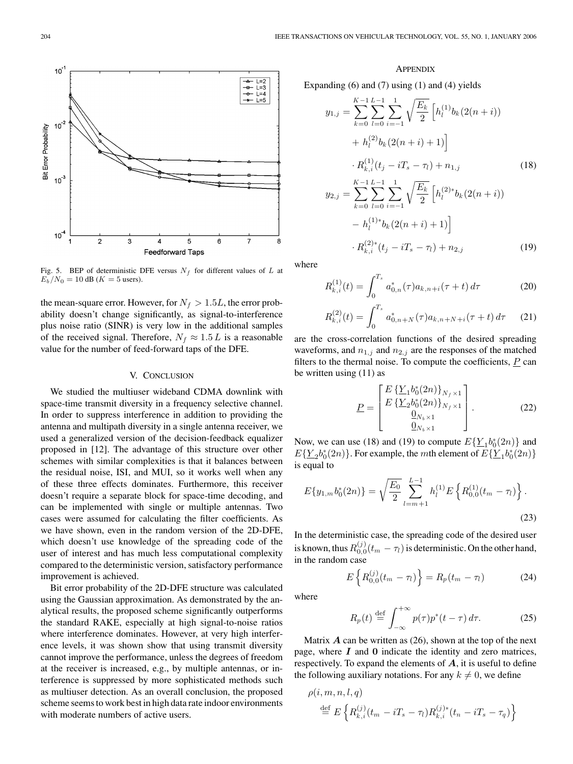

Fig. 5. BEP of deterministic DFE versus  $N_f$  for different values of L at  $E_b/N_0 = 10$  dB ( $K = 5$  users).

the mean-square error. However, for  $N_f > 1.5L$ , the error probability doesn't change significantly, as signal-to-interference plus noise ratio (SINR) is very low in the additional samples of the received signal. Therefore,  $N_f \approx 1.5 L$  is a reasonable value for the number of feed-forward taps of the DFE.

#### V. CONCLUSION

We studied the multiuser wideband CDMA downlink with space-time transmit diversity in a frequency selective channel. In order to suppress interference in addition to providing the antenna and multipath diversity in a single antenna receiver, we used a generalized version of the decision-feedback equalizer proposed in [12]. The advantage of this structure over other schemes with similar complexities is that it balances between the residual noise, ISI, and MUI, so it works well when any of these three effects dominates. Furthermore, this receiver doesn't require a separate block for space-time decoding, and can be implemented with single or multiple antennas. Two cases were assumed for calculating the filter coefficients. As we have shown, even in the random version of the 2D-DFE, which doesn't use knowledge of the spreading code of the user of interest and has much less computational complexity compared to the deterministic version, satisfactory performance improvement is achieved.

Bit error probability of the 2D-DFE structure was calculated using the Gaussian approximation. As demonstrated by the analytical results, the proposed scheme significantly outperforms the standard RAKE, especially at high signal-to-noise ratios where interference dominates. However, at very high interference levels, it was shown show that using transmit diversity cannot improve the performance, unless the degrees of freedom at the receiver is increased, e.g., by multiple antennas, or interference is suppressed by more sophisticated methods such as multiuser detection. As an overall conclusion, the proposed scheme seems to work best in high data rate indoor environments with moderate numbers of active users.

### **APPENDIX**

Expanding (6) and (7) using (1) and (4) yields

$$
y_{1,j} = \sum_{k=0}^{K-1} \sum_{l=0}^{L-1} \sum_{i=-1}^{1} \sqrt{\frac{E_k}{2}} \left[ h_l^{(1)} b_k (2(n+i)) + h_l^{(2)} b_k (2(n+i) + 1) \right]
$$
  
+ 
$$
R_{k,i}^{(1)}(t_j - iT_s - \tau_l) + n_{1,j}
$$
(18)  

$$
y_{2,j} = \sum_{k=0}^{K-1} \sum_{l=0}^{L-1} \sum_{i=-1}^{1} \sqrt{\frac{E_k}{2}} \left[ h_l^{(2)*} b_k (2(n+i)) - h_l^{(1)*} b_k (2(n+i) + 1) \right]
$$
  
- 
$$
R_{k,i}^{(2)*}(t_j - iT_s - \tau_l) + n_{2,j}
$$
(19)

where

$$
R_{k,i}^{(1)}(t) = \int_0^{T_s} a_{0,n}^*(\tau) a_{k,n+i}(\tau + t) d\tau
$$
 (20)

$$
R_{k,i}^{(2)}(t) = \int_0^{T_s} a_{0,n+N}^*(\tau) a_{k,n+N+i}(\tau + t) d\tau \qquad (21)
$$

are the cross-correlation functions of the desired spreading waveforms, and  $n_{1,j}$  and  $n_{2,j}$  are the responses of the matched filters to the thermal noise. To compute the coefficients,  *can* be written using (11) as

$$
\underline{P} = \begin{bmatrix} E\left\{ \underline{Y}_1 b_0^*(2n) \right\}_{N_f \times 1} \\ E\left\{ \underline{Y}_2 b_0^*(2n) \right\}_{N_f \times 1} \\ \underline{0}_{N_b \times 1} \\ \underline{0}_{N_b \times 1} \end{bmatrix} . \tag{22}
$$

Now, we can use (18) and (19) to compute  $E\left\{\underline{Y}_1 b_0^*(2n)\right\}$  and  $E\left\{\underline{Y}_2b_0^*(2n)\right\}$ . For example, the *mth* element of  $E\left\{\underline{Y}_1b_0^*(2n)\right\}$ is equal to

$$
E\{y_{1,m}b_0^*(2n)\} = \sqrt{\frac{E_0}{2}} \sum_{l=m+1}^{L-1} h_l^{(1)} E\left\{R_{0,0}^{(1)}(t_m - \tau_l)\right\}.
$$
\n(23)

In the deterministic case, the spreading code of the desired user is known, thus  $R_{0,0}^{(j)}(t_m-\tau_l)$  is deterministic. On the other hand, in the random case

$$
E\left\{R_{0,0}^{(j)}(t_m-\tau_l)\right\}=R_p(t_m-\tau_l)
$$
 (24)

where

$$
R_p(t) \stackrel{\text{def}}{=} \int_{-\infty}^{+\infty} p(\tau) p^*(t - \tau) d\tau.
$$
 (25)

Matrix  $\vec{A}$  can be written as (26), shown at the top of the next page, where *I* and **0** indicate the identity and zero matrices, respectively. To expand the elements of *A*, it is useful to define the following auxiliary notations. For any  $k \neq 0$ , we define

$$
\rho(i, m, n, l, q) = \frac{\det}{\pi} E \left\{ R_{k,i}^{(j)}(t_m - iT_s - \tau_l) R_{k,i}^{(j)*}(t_n - iT_s - \tau_q) \right\}
$$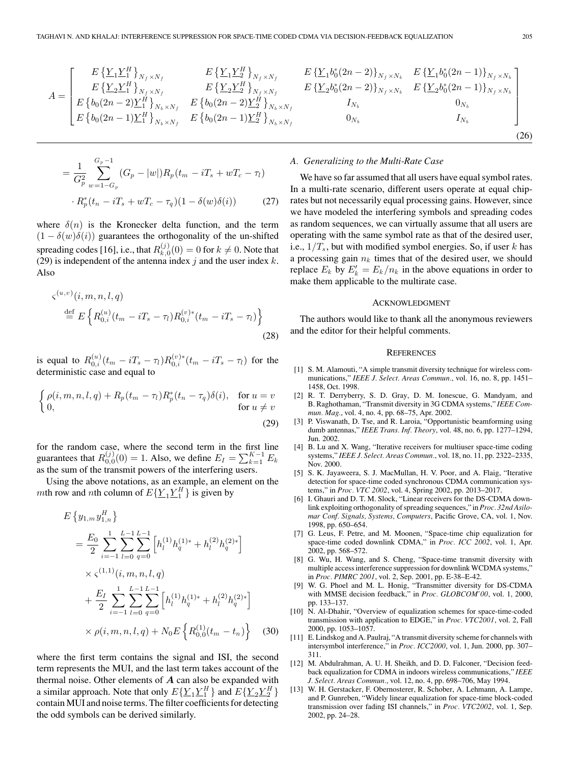$$
A = \begin{bmatrix} E\left\{\underline{Y}_{1}\underline{Y}_{1}^{H}\right\}_{N_{f}\times N_{f}} & E\left\{\underline{Y}_{1}\underline{Y}_{2}^{H}\right\}_{N_{f}\times N_{f}} & E\left\{\underline{Y}_{1}b_{0}^{*}(2n-2)\right\}_{N_{f}\times N_{b}} & E\left\{\underline{Y}_{1}b_{0}^{*}(2n-1)\right\}_{N_{f}\times N_{b}} \\ E\left\{\underline{Y}_{2}\underline{Y}_{1}^{H}\right\}_{N_{f}\times N_{f}} & E\left\{\underline{Y}_{2}\underline{Y}_{2}^{H}\right\}_{N_{f}\times N_{f}} & E\left\{\underline{Y}_{2}b_{0}^{*}(2n-2)\right\}_{N_{f}\times N_{b}} & E\left\{\underline{Y}_{2}b_{0}^{*}(2n-1)\right\}_{N_{f}\times N_{b}} \\ E\left\{b_{0}(2n-2)\underline{Y}_{1}^{H}\right\}_{N_{b}\times N_{f}} & E\left\{b_{0}(2n-2)\underline{Y}_{2}^{H}\right\}_{N_{b}\times N_{f}} & I_{N_{b}} & 0_{N_{b}} \\ E\left\{b_{0}(2n-1)\underline{Y}_{1}^{H}\right\}_{N_{b}\times N_{f}} & E\left\{b_{0}(2n-1)\underline{Y}_{2}^{H}\right\}_{N_{b}\times N_{f}} & 0_{N_{b}} & I_{N_{b}} \end{bmatrix}
$$

$$
= \frac{1}{G_p^2} \sum_{w=1-G_p}^{G_p-1} (G_p - |w|) R_p(t_m - iT_s + wT_c - \tau_l)
$$

$$
\cdot R_p^*(t_n - iT_s + wT_c - \tau_q)(1 - \delta(w)\delta(i)) \qquad (27)
$$

where  $\delta(n)$  is the Kronecker delta function, and the term  $(1 - \delta(w)\delta(i))$  guarantees the orthogonality of the un-shifted spreading codes [16], i.e., that  $R_{k,0}^{(j)}(0)=0$  for  $k\neq 0.$  Note that (29) is independent of the antenna index j and the user index  $k$ . Also

$$
\zeta^{(u,v)}(i, m, n, l, q)
$$
  
\n
$$
\stackrel{\text{def}}{=} E\left\{ R_{0,i}^{(u)}(t_m - iT_s - \tau_l) R_{0,i}^{(v)*}(t_m - iT_s - \tau_l) \right\}
$$
\n(28)

is equal to  $R_{0,i}^{(u)}(t_m - iT_s - \tau_l) R_{0,i}^{(v)*}(t_m - iT_s - \tau_l)$  for the deterministic case and equal to

$$
\begin{cases}\n\rho(i, m, n, l, q) + R_p(t_m - \tau_l) R_p^*(t_n - \tau_q) \delta(i), & \text{for } u = v \\
0, & \text{for } u \neq v\n\end{cases}
$$
\n(29)

for the random case, where the second term in the first line guarantees that  $R_{0,0}^{(j)}(0) = 1$ . Also, we define  $E_I = \sum_{k=1}^{K-1} E_k$ as the sum of the transmit powers of the interfering users.

Using the above notations, as an example, an element on the mth row and nth column of  $E\{\underline{Y}_1 \underline{Y}_1^H\}$  is given by

$$
E\left\{y_{1,m}y_{1,n}^{H}\right\}
$$
\n
$$
= \frac{E_{0}}{2} \sum_{i=-1}^{1} \sum_{l=0}^{L-1} \sum_{q=0}^{L-1} \left[h_{l}^{(1)}h_{q}^{(1)*} + h_{l}^{(2)}h_{q}^{(2)*}\right]
$$
\n
$$
\times \varsigma^{(1,1)}(i, m, n, l, q)
$$
\n
$$
+ \frac{E_{I}}{2} \sum_{i=-1}^{1} \sum_{l=0}^{L-1} \sum_{q=0}^{L-1} \left[h_{l}^{(1)}h_{q}^{(1)*} + h_{l}^{(2)}h_{q}^{(2)*}\right]
$$
\n
$$
\times \rho(i, m, n, l, q) + N_{0}E\left\{R_{0,0}^{(1)}(t_{m} - t_{n})\right\} \quad (30)
$$

where the first term contains the signal and ISI, the second term represents the MUI, and the last term takes account of the thermal noise. Other elements of *A* can also be expanded with a similar approach. Note that only  $E\{\underline{Y}_1 \underline{Y}_1^H\}$  and  $E\{\underline{Y}_2 \underline{Y}_2^H\}$ contain MUI and noise terms. The filter coefficients for detecting the odd symbols can be derived similarly.

#### *A. Generalizing to the Multi-Rate Case*

We have so far assumed that all users have equal symbol rates. In a multi-rate scenario, different users operate at equal chiprates but not necessarily equal processing gains. However, since we have modeled the interfering symbols and spreading codes as random sequences, we can virtually assume that all users are operating with the same symbol rate as that of the desired user, i.e.,  $1/T_s$ , but with modified symbol energies. So, if user k has a processing gain  $n_k$  times that of the desired user, we should replace  $E_k$  by  $E'_k = E_k/n_k$  in the above equations in order to make them applicable to the multirate case.

#### ACKNOWLEDGMENT

The authors would like to thank all the anonymous reviewers and the editor for their helpful comments.

#### **REFERENCES**

- [1] S. M. Alamouti, "A simple transmit diversity technique for wireless communications," *IEEE J. Select. Areas Commun.*, vol. 16, no. 8, pp. 1451– 1458, Oct. 1998.
- [2] R. T. Derryberry, S. D. Gray, D. M. Ionescue, G. Mandyam, and B. Raghothaman, "Transmit diversity in 3G CDMA systems," *IEEE Commun. Mag.*, vol. 4, no. 4, pp. 68–75, Apr. 2002.
- [3] P. Viswanath, D. Tse, and R. Laroia, "Opportunistic beamforming using dumb antennas," *IEEE Trans. Inf. Theory*, vol. 48, no. 6, pp. 1277–1294, Jun. 2002.
- [4] B. Lu and X. Wang, "Iterative receivers for multiuser space-time coding systems," *IEEE J. Select. Areas Commun.*, vol. 18, no. 11, pp. 2322–2335, Nov. 2000.
- [5] S. K. Jayaweera, S. J. MacMullan, H. V. Poor, and A. Flaig, "Iterative detection for space-time coded synchronous CDMA communication systems," in *Proc. VTC 2002*, vol. 4, Spring 2002, pp. 2013–2017.
- [6] I. Ghauri and D. T. M. Slock, "Linear receivers for the DS-CDMA downlink exploiting orthogonality of spreading sequences," in *Proc. 32nd Asilomar Conf. Signals, Systems, Computers*, Pacific Grove, CA, vol. 1, Nov. 1998, pp. 650–654.
- [7] G. Leus, F. Petre, and M. Moonen, "Space-time chip equalization for space-time coded downlink CDMA," in *Proc. ICC 2002*, vol. 1, Apr. 2002, pp. 568–572.
- [8] G. Wu, H. Wang, and S. Cheng, "Space-time transmit diversity with multiple access interference suppression for downlink WCDMA systems," in *Proc. PIMRC 2001*, vol. 2, Sep. 2001, pp. E-38–E-42.
- [9] W. G. Phoel and M. L. Honig, "Transmitter diversity for DS-CDMA with MMSE decision feedback," in *Proc. GLOBCOM'00*, vol. 1, 2000, pp. 133–137.
- [10] N. Al-Dhahir, "Overview of equalization schemes for space-time-coded transmission with application to EDGE," in *Proc. VTC2001*, vol. 2, Fall 2000, pp. 1053–1057.
- [11] E. Lindskog and A. Paulraj, "A transmit diversity scheme for channels with intersymbol interference," in *Proc. ICC2000*, vol. 1, Jun. 2000, pp. 307– 311.
- [12] M. Abdulrahman, A. U. H. Sheikh, and D. D. Falconer, "Decision feedback equalization for CDMA in indoors wireless communications," *IEEE J. Select. Areas Commun.*, vol. 12, no. 4, pp. 698–706, May 1994.
- [13] W. H. Gerstacker, F. Obernosterer, R. Schober, A. Lehmann, A. Lampe, and P. Gunreben, "Widely linear equalization for space-time block-coded transmission over fading ISI channels," in *Proc. VTC2002*, vol. 1, Sep. 2002, pp. 24–28.

(26)